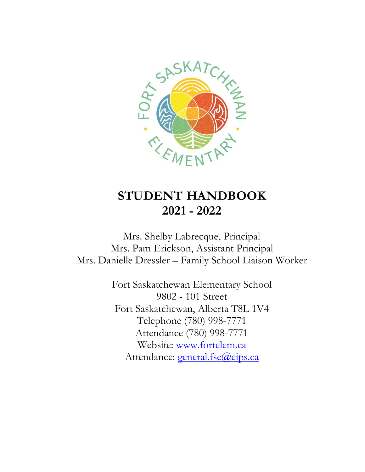

# **STUDENT HANDBOOK 2021 - 2022**

Mrs. Shelby Labrecque, Principal Mrs. Pam Erickson, Assistant Principal Mrs. Danielle Dressler – Family School Liaison Worker

> Fort Saskatchewan Elementary School 9802 - 101 Street Fort Saskatchewan, Alberta T8L 1V4 Telephone (780) 998-7771 Attendance (780) 998-7771 Website: [www.fortelem.ca](http://www.fortelem.ca/) Attendance: [general.fse@eips.ca](mailto:general.fse@eips.ca)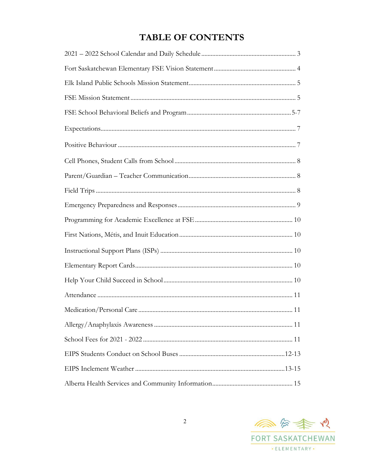## **TABLE OF CONTENTS**

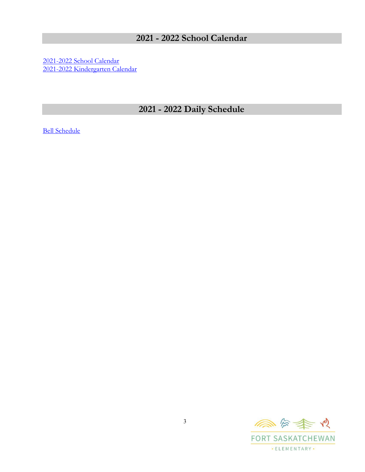## **2021 - 2022 School Calendar**

[2021-2022 School Calendar](https://www.fortelem.ca/download/311091) [2021-2022 Kindergarten Calendar](https://www.fortelem.ca/download/363244)

## **2021 - 2022 Daily Schedule**

[Bell Schedule](https://www.fortelem.ca/about/bell-schedule)

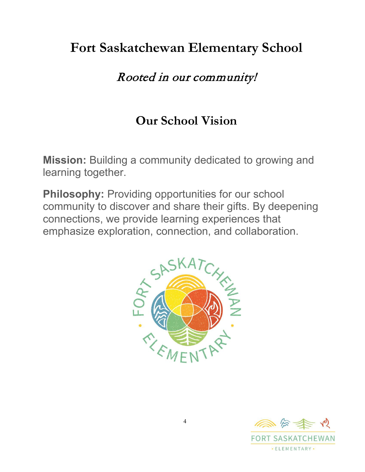# **Fort Saskatchewan Elementary School**

# Rooted in our community!

# **Our School Vision**

**Mission:** Building a community dedicated to growing and learning together.

**Philosophy:** Providing opportunities for our school community to discover and share their gifts. By deepening connections, we provide learning experiences that emphasize exploration, connection, and collaboration.



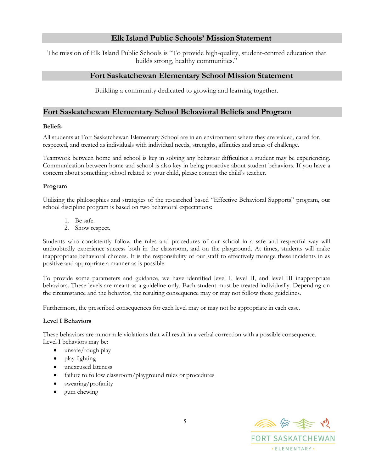## **Elk Island Public Schools' Mission Statement**

<span id="page-4-0"></span>The mission of Elk Island Public Schools is "To provide high-quality, student-centred education that builds strong, healthy communities."

## **Fort Saskatchewan Elementary School Mission Statement**

Building a community dedicated to growing and learning together.

## **Fort Saskatchewan Elementary School Behavioral Beliefs andProgram**

#### **Beliefs**

All students at Fort Saskatchewan Elementary School are in an environment where they are valued, cared for, respected, and treated as individuals with individual needs, strengths, affinities and areas of challenge.

Teamwork between home and school is key in solving any behavior difficulties a student may be experiencing. Communication between home and school is also key in being proactive about student behaviors. If you have a concern about something school related to your child, please contact the child's teacher.

#### **Program**

Utilizing the philosophies and strategies of the researched based "Effective Behavioral Supports" program, our school discipline program is based on two behavioral expectations:

- 1. Be safe.
- 2. Show respect.

Students who consistently follow the rules and procedures of our school in a safe and respectful way will undoubtedly experience success both in the classroom, and on the playground. At times, students will make inappropriate behavioral choices. It is the responsibility of our staff to effectively manage these incidents in as positive and appropriate a manner as is possible.

To provide some parameters and guidance, we have identified level I, level II, and level III inappropriate behaviors. These levels are meant as a guideline only. Each student must be treated individually. Depending on the circumstance and the behavior, the resulting consequence may or may not follow these guidelines.

Furthermore, the prescribed consequences for each level may or may not be appropriate in each case.

#### **Level I Behaviors**

These behaviors are minor rule violations that will result in a verbal correction with a possible consequence. Level I behaviors may be:

- unsafe/rough play
- play fighting
- unexcused lateness
- failure to follow classroom/playground rules or procedures
- swearing/profanity
- gum chewing

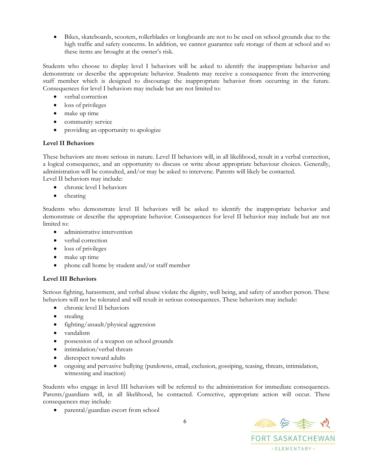• Bikes, skateboards, scooters, rollerblades or longboards are not to be used on school grounds due to the high traffic and safety concerns. In addition, we cannot guarantee safe storage of them at school and so these items are brought at the owner's risk.

Students who choose to display level I behaviors will be asked to identify the inappropriate behavior and demonstrate or describe the appropriate behavior. Students may receive a consequence from the intervening staff member which is designed to discourage the inappropriate behavior from occurring in the future. Consequences for level I behaviors may include but are not limited to:

- verbal correction
- loss of privileges
- make up time
- community service
- providing an opportunity to apologize

### **Level II Behaviors**

These behaviors are more serious in nature. Level II behaviors will, in all likelihood, result in a verbal correction, a logical consequence, and an opportunity to discuss or write about appropriate behaviour choices. Generally, administration will be consulted, and/or may be asked to intervene. Parents will likely be contacted. Level II behaviors may include:

- chronic level I behaviors
- cheating

Students who demonstrate level II behaviors will be asked to identify the inappropriate behavior and demonstrate or describe the appropriate behavior. Consequences for level II behavior may include but are not limited to:

- administrative intervention
- verbal correction
- loss of privileges
- make up time
- phone call home by student and/or staff member

### **Level III Behaviors**

Serious fighting, harassment, and verbal abuse violate the dignity, well being, and safety of another person. These behaviors will not be tolerated and will result in serious consequences. These behaviors may include:

- chronic level II behaviors
- stealing
- fighting/assault/physical aggression
- vandalism
- possession of a weapon on school grounds
- intimidation/verbal threats
- disrespect toward adults
- ongoing and pervasive bullying (putdowns, email, exclusion, gossiping, teasing, threats, intimidation, witnessing and inaction)

Students who engage in level III behaviors will be referred to the administration for immediate consequences. Parents/guardians will, in all likelihood, be contacted. Corrective, appropriate action will occur. These consequences may include:

• parental/guardian escort from school

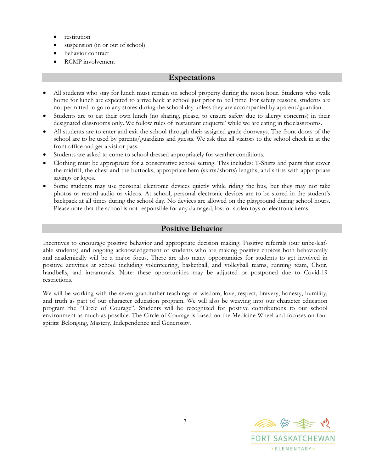- restitution
- suspension (in or out of school)
- behavior contract
- <span id="page-6-0"></span>• RCMP involvement

## **Expectations**

- All students who stay for lunch must remain on school property during the noon hour. Students who walk home for lunch are expected to arrive back at school just prior to bell time. For safety reasons, students are not permitted to go to any stores during the school day unless they are accompanied by aparent/guardian.
- Students are to eat their own lunch (no sharing, please, to ensure safety due to allergy concerns) in their designated classrooms only. We follow rules of 'restaurant etiquette' while we are eating in the classrooms.
- All students are to enter and exit the school through their assigned grade doorways. The front doors of the school are to be used by parents/guardians and guests. We ask that all visitors to the school check in at the front office and get a visitor pass.
- Students are asked to come to school dressed appropriately for weather conditions.
- Clothing must be appropriate for a conservative school setting. This includes: T-Shirts and pants that cover the midriff, the chest and the buttocks, appropriate hem (skirts/shorts) lengths, and shirts with appropriate sayings or logos.
- Some students may use personal electronic devices quietly while riding the bus, but they may not take photos or record audio or videos. At school, personal electronic devices are to be stored in the student's backpack at all times during the school day. No devices are allowed on the playground during school hours. Please note that the school is not responsible for any damaged, lost or stolen toys or electronic items.

## **Positive Behavior**

Incentives to encourage positive behavior and appropriate decision making. Positive referrals (our unbe-leafable students) and ongoing acknowledgement of students who are making positive choices both behaviorally and academically will be a major focus. There are also many opportunities for students to get involved in positive activities at school including volunteering, basketball, and volleyball teams, running team, Choir, handbells, and intramurals. Note: these opportunities may be adjusted or postponed due to Covid-19 restrictions.

We will be working with the seven grandfather teachings of wisdom, love, respect, bravery, honesty, humility, and truth as part of our character education program. We will also be weaving into our character education program the "Circle of Courage". Students will be recognized for positive contributions to our school environment as much as possible. The Circle of Courage is based on the Medicine Wheel and focuses on four spirits: Belonging, Mastery, Independence and Generosity.

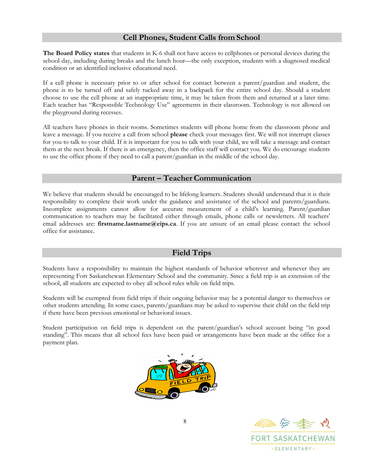## **Cell Phones, Student Calls from School**

<span id="page-7-0"></span>**The Board Policy states** that students in K-6 shall not have access to cellphones or personal devices during the school day, including during breaks and the lunch hour—the only exception, students with a diagnosed medical condition or an identified inclusive educational need.

If a cell phone is necessary prior to or after school for contact between a parent/guardian and student, the phone is to be turned off and safely tucked away in a backpack for the entire school day. Should a student choose to use the cell phone at an inappropriate time, it may be taken from them and returned at a later time. Each teacher has "Responsible Technology Use" agreements in their classroom. Technology is not allowed on the playground during recesses.

All teachers have phones in their rooms. Sometimes students will phone home from the classroom phone and leave a message. If you receive a call from school **please** check your messages first. We will not interrupt classes for you to talk to your child. If it is important for you to talk with your child, we will take a message and contact them at the next break. If there is an emergency, then the office staff will contact you. We do encourage students to use the office phone if they need to call a parent/guardian in the middle of the school day.

## **Parent – Teacher Communication**

We believe that students should be encouraged to be lifelong learners. Students should understand that it is their responsibility to complete their work under the guidance and assistance of the school and parents/guardians. Incomplete assignments cannot allow for accurate measurement of a child's learning. Parent/guardian communication to teachers may be facilitated either through emails, phone calls or newsletters. All teachers' email addresses are: **[firstname.lastname@eips.ca](mailto:firstname.lastname@eips.ca)**. If you are unsure of an email please contact the school office for assistance.

## **Field Trips**

<span id="page-7-1"></span>Students have a responsibility to maintain the highest standards of behavior wherever and whenever they are representing Fort Saskatchewan Elementary School and the community. Since a field trip is an extension of the school, all students are expected to obey all school rules while on field trips.

Students will be exempted from field trips if their ongoing behavior may be a potential danger to themselves or other students attending. In some cases, parents/guardians may be asked to supervise their child on the field trip if there have been previous emotional or behavioral issues.

Student participation on field trips is dependent on the parent/guardian's school account being "in good standing". This means that all school fees have been paid or arrangements have been made at the office for a payment plan.



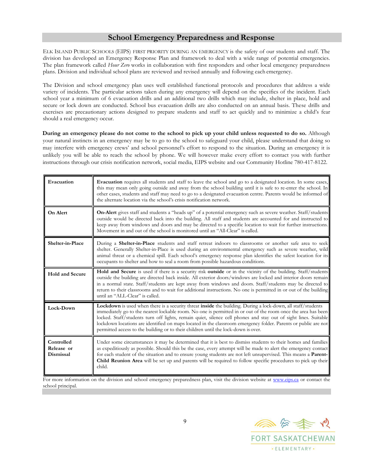## **School Emergency Preparedness and Response**

ELK ISLAND PUBLIC SCHOOLS (EIPS) FIRST PRIORITY DURING AN EMERGENCY is the safety of our students and staff. The division has developed an Emergency Response Plan and framework to deal with a wide range of potential emergencies. The plan framework called *Hour Zero* works in collaboration with first responders and other local emergency preparedness plans. Division and individual school plans are reviewed and revised annually and following each emergency.

The Division and school emergency plan uses well established functional protocols and procedures that address a wide variety of incidents. The particular actions taken during any emergency will depend on the specifics of the incident. Each school year a minimum of 6 evacuation drills and an additional two drills which may include, shelter in place, hold and secure or lock down are conducted. School bus evacuation drills are also conducted on an annual basis. These drills and exercises are precautionary actions designed to prepare students and staff to act quickly and to minimize a child's fear should a real emergency occur.

**During an emergency please do not come to the school to pick up your child unless requested to do so.** Although your natural instincts in an emergency may be to go to the school to safeguard your child, please understand that doing so may interfere with emergency crews' and school personnel's effort to respond to the situation. During an emergency it is unlikely you will be able to reach the school by phone. We will however make every effort to contact you with further instructions through our crisis notification network, social media, EIPS website and our Community Hotline 780-417-8122.

| Evacuation                            | <b>Evacuation</b> requires all students and staff to leave the school and go to a designated location. In some cases,<br>this may mean only going outside and away from the school building until it is safe to re-enter the school. In<br>other cases, students and staff may need to go to a designated evacuation centre. Parents would be informed of<br>the alternate location via the school's crisis notification network.                                                                                                                        |
|---------------------------------------|----------------------------------------------------------------------------------------------------------------------------------------------------------------------------------------------------------------------------------------------------------------------------------------------------------------------------------------------------------------------------------------------------------------------------------------------------------------------------------------------------------------------------------------------------------|
| On Alert                              | On-Alert gives staff and students a "heads up" of a potential emergency such as severe weather. Staff/students<br>outside would be directed back into the building. All staff and students are accounted for and instructed to<br>keep away from windows and doors and may be directed to a specific location to wait for further instructions.<br>Movement in and out of the school is monitored until an "All-Clear" is called.                                                                                                                        |
| Shelter-in-Place                      | During a <b>Shelter-in-Place</b> students and staff retreat indoors to classrooms or another safe area to seek<br>shelter. Generally Shelter-in-Place is used during an environmental emergency such as severe weather, wild<br>animal threat or a chemical spill. Each school's emergency response plan identifies the safest location for its<br>occupants to shelter and how to seal a room from possible hazardous conditions.                                                                                                                       |
| <b>Hold and Secure</b>                | Hold and Secure is used if there is a security risk outside or in the vicinity of the building. Staff/students<br>outside the building are directed back inside. All exterior doors/windows are locked and interior doors remain<br>in a normal state. Staff/students are kept away from windows and doors. Staff/students may be directed to<br>return to their classrooms and to wait for additional instructions. No one is permitted in or out of the building<br>until an "ALL-Clear" is called.                                                    |
| Lock-Down                             | Lockdown is used when there is a security threat inside the building. During a lock-down, all staff/students<br>immediately go to the nearest lockable room. No one is permitted in or out of the room once the area has been<br>locked. Staff/students turn off lights, remain quiet, silence cell phones and stay out of sight lines. Suitable<br>lockdown locations are identified on maps located in the classroom emergency folder. Parents or public are not<br>permitted access to the building or to their children until the lock-down is over. |
| Controlled<br>Release or<br>Dismissal | Under some circumstances it may be determined that it is best to dismiss students to their homes and families<br>as expeditiously as possible. Should this be the case, every attempt will be made to alert the emergency contact<br>for each student of the situation and to ensure young students are not left unsupervised. This means a Parent-<br>Child Reunion Area will be set up and parents will be required to follow specific procedures to pick up their<br>child.                                                                           |

For more information on the division and school emergency preparedness plan, visit the division website at [www.eips.ca](http://www.eips.ca/) or contact the school principal.

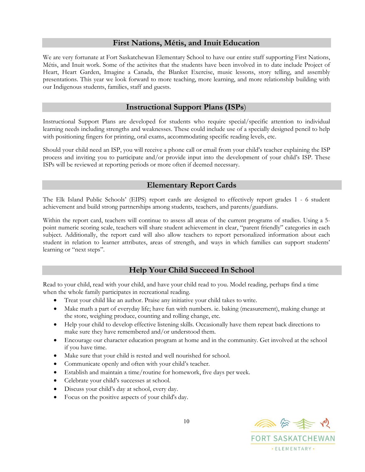## **First Nations, Métis, and Inuit Education**

<span id="page-9-0"></span>We are very fortunate at Fort Saskatchewan Elementary School to have our entire staff supporting First Nations, Métis, and Inuit work. Some of the activites that the students have been involved in to date include Project of Heart, Heart Garden, Imagine a Canada, the Blanket Exercise, music lessons, story telling, and assembly presentations. This year we look forward to more teaching, more learning, and more relationship building with our Indigenous students, families, staff and guests.

## **Instructional Support Plans (ISPs**)

<span id="page-9-1"></span>Instructional Support Plans are developed for students who require special/specific attention to individual learning needs including strengths and weaknesses. These could include use of a specially designed pencil to help with positioning fingers for printing, oral exams, accommodating specific reading levels, etc.

Should your child need an ISP, you will receive a phone call or email from your child's teacher explaining the ISP process and inviting you to participate and/or provide input into the development of your child's ISP. These ISPs will be reviewed at reporting periods or more often if deemed necessary.

## **Elementary Report Cards**

<span id="page-9-2"></span>The Elk Island Public Schools' (EIPS) report cards are designed to effectively report grades 1 - 6 student achievement and build strong partnerships among students, teachers, and parents/guardians.

Within the report card, teachers will continue to assess all areas of the current programs of studies. Using a 5 point numeric scoring scale, teachers will share student achievement in clear, "parent friendly" categories in each subject. Additionally, the report card will also allow teachers to report personalized information about each student in relation to learner attributes, areas of strength, and ways in which families can support students' learning or "next steps".

## **Help Your Child Succeed In School**

<span id="page-9-3"></span>Read to your child, read with your child, and have your child read to you. Model reading, perhaps find a time when the whole family participates in recreational reading.

- Treat your child like an author. Praise any initiative your child takes to write.
- Make math a part of everyday life; have fun with numbers. ie. baking (measurement), making change at the store, weighing produce, counting and rolling change, etc.
- Help your child to develop effective listening skills. Occasionally have them repeat back directions to make sure they have remembered and/or understood them.
- Encourage our character education program at home and in the community. Get involved at the school if you have time.
- Make sure that your child is rested and well nourished for school.
- Communicate openly and often with your child's teacher.
- Establish and maintain a time/routine for homework, five days per week.
- Celebrate your child's successes at school.
- Discuss your child's day at school, every day.
- Focus on the positive aspects of your child's day.

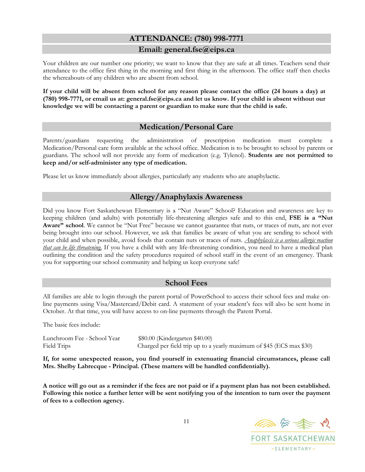## **ATTENDANCE: (780) 998-7771**

## **Email: [general.fse@eips.ca](mailto:general.fse@eips.ca)**

Your children are our number one priority; we want to know that they are safe at all times. Teachers send their attendance to the office first thing in the morning and first thing in the afternoon. The office staff then checks the whereabouts of any children who are absent from school.

**If your child will be absent from school for any reason please contact the office (24 hours a day) at (780) 998-7771, or email us at: [general.fse@eips.ca a](mailto:general.fse@eips.ca)nd let us know. If your child is absent without our knowledge we will be contacting a parent or guardian to make sure that the child is safe.**

## **Medication/Personal Care**

Parents/guardians requesting the administration of prescription medication must complete a Medication/Personal care form available at the school office. Medication is to be brought to school by parents or guardians. The school will not provide any form of medication (e.g. Tylenol). **Students are not permitted to keep and/or self-administer any type of medication.**

Please let us know immediately about allergies, particularly any students who are anaphylactic.

## **Allergy/Anaphylaxis Awareness**

Did you know Fort Saskatchewan Elementary is a "Nut Aware" School? Education and awareness are key to keeping children (and adults) with potentially life-threatening allergies safe and to this end, **FSE is a "Nut Aware" school**. We cannot be "Nut Free" because we cannot guarantee that nuts, or traces of nuts, are not ever being brought into our school. However, we ask that families be aware of what you are sending to school with your child and when possible, avoid foods that contain nuts or traces of nuts. *Anaphylaxis is a serious allergic reaction that can be life threatening.* If you have a child with any life-threatening condition, you need to have a medical plan outlining the condition and the safety procedures required of school staff in the event of an emergency. Thank you for supporting our school community and helping us keep everyone safe!

## **School Fees**

All families are able to login through the parent portal of PowerSchool to access their school fees and make online payments using Visa/Mastercard/Debit card. A statement of your student's fees will also be sent home in October. At that time, you will have access to on-line payments through the Parent Portal.

The basic fees include:

| Lunchroom Fee - School Year | \$80.00 (Kindergarten \$40.00)                                       |
|-----------------------------|----------------------------------------------------------------------|
| Field Trips                 | Charged per field trip up to a yearly maximum of \$45 (ECS max \$30) |

**If, for some unexpected reason, you find yourself in extenuating financial circumstances, please call Mrs. Shelby Labrecque - Principal. (These matters will be handled confidentially).**

**A notice will go out as a reminder if the fees are not paid or if a payment plan has not been established. Following this notice a further letter will be sent notifying you of the intention to turn over the payment of fees to a collection agency.**

同会委员 **FORT SASKATCHEWAN** · ELEMENTARY ·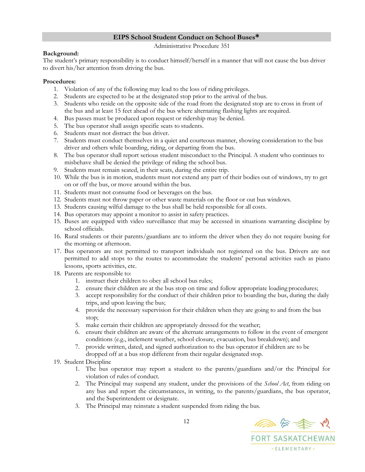### **EIPS School Student Conduct on School Buses\***

Administrative Procedure 351

### **Background:**

The student's primary responsibility is to conduct himself/herself in a manner that will not cause the bus driver to divert his/her attention from driving the bus.

### **Procedures:**

- 1. Violation of any of the following may lead to the loss of riding privileges.
- 2. Students are expected to be at the designated stop prior to the arrival of the bus.
- 3. Students who reside on the opposite side of the road from the designated stop are to cross in front of the bus and at least 15 feet ahead of the bus where alternating flashing lights are required.
- 4. Bus passes must be produced upon request or ridership may be denied.
- 5. The bus operator shall assign specific seats to students.
- 6. Students must not distract the bus driver.
- 7. Students must conduct themselves in a quiet and courteous manner, showing consideration to the bus driver and others while boarding, riding, or departing from the bus.
- 8. The bus operator shall report serious student misconduct to the Principal. A student who continues to misbehave shall be denied the privilege of riding the school bus.
- 9. Students must remain seated, in their seats, during the entire trip.
- 10. While the bus is in motion, students must not extend any part of their bodies out of windows, try to get on or off the bus, or move around within the bus.
- 11. Students must not consume food or beverages on the bus.
- 12. Students must not throw paper or other waste materials on the floor or out bus windows.
- 13. Students causing wilful damage to the bus shall be held responsible for all costs.
- 14. Bus operators may appoint a monitor to assist in safety practices.
- 15. Buses are equipped with video surveillance that may be accessed in situations warranting discipline by school officials.
- 16. Rural students or their parents/guardians are to inform the driver when they do not require busing for the morning or afternoon.
- 17. Bus operators are not permitted to transport individuals not registered on the bus. Drivers are not permitted to add stops to the routes to accommodate the students' personal activities such as piano lessons, sports activities, etc.
- 18. Parents are responsible to:
	- 1. instruct their children to obey all school bus rules;
	- 2. ensure their children are at the bus stop on time and follow appropriate loading procedures;
	- 3. accept responsibility for the conduct of their children prior to boarding the bus, during the daily trips, and upon leaving the bus;
	- 4. provide the necessary supervision for their children when they are going to and from the bus stop;
	- 5. make certain their children are appropriately dressed for the weather;
	- 6. ensure their children are aware of the alternate arrangements to follow in the event of emergent conditions (e.g., inclement weather, school closure, evacuation, bus breakdown); and
	- 7. provide written, dated, and signed authorization to the bus operator if children are to be dropped off at a bus stop different from their regular designated stop.
- 19. Student Discipline
	- 1. The bus operator may report a student to the parents/guardians and/or the Principal for violation of rules of conduct.
	- 2. The Principal may suspend any student, under the provisions of the *School Act*, from riding on any bus and report the circumstances, in writing, to the parents/guardians, the bus operator, and the Superintendent or designate.
	- 3. The Principal may reinstate a student suspended from riding the bus.

同分类之 **FORT SASKATCHEWAN** · ELEMENTARY ·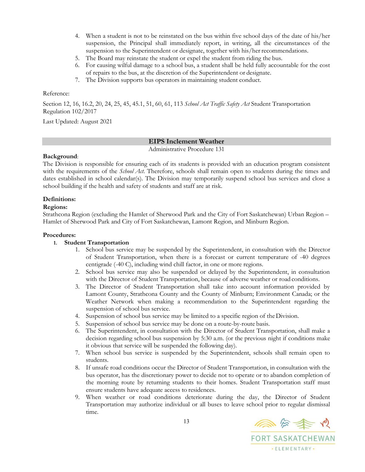- 4. When a student is not to be reinstated on the bus within five school days of the date of his/her suspension, the Principal shall immediately report, in writing, all the circumstances of the suspension to the Superintendent or designate, together with his/her recommendations.
- 5. The Board may reinstate the student or expel the student from riding the bus.
- 6. For causing wilful damage to a school bus, a student shall be held fully accountable for the cost of repairs to the bus, at the discretion of the Superintendent or designate.
- 7. The Division supports bus operators in maintaining student conduct.

#### Reference:

Section 12, 16, 16.2, 20, 24, 25, 45, 45.1, 51, 60, 61, 113 *School Act Traffic Safety Act* Student Transportation Regulation 102/2017

<span id="page-12-0"></span>Last Updated: August 2021

## **EIPS Inclement Weather**

Administrative Procedure 131

#### **Background**:

The Division is responsible for ensuring each of its students is provided with an education program consistent with the requirements of the *School Act*. Therefore, schools shall remain open to students during the times and dates established in school calendar(s). The Division may temporarily suspend school bus services and close a school building if the health and safety of students and staff are at risk.

#### **Definitions:**

#### **Regions:**

Strathcona Region (excluding the Hamlet of Sherwood Park and the City of Fort Saskatchewan) Urban Region – Hamlet of Sherwood Park and City of Fort Saskatchewan, Lamont Region, and Minburn Region.

#### **Procedures:**

### **1. Student Transportation**

- 1. School bus service may be suspended by the Superintendent, in consultation with the Director of Student Transportation, when there is a forecast or current temperature of -40 degrees centigrade (-40 C), including wind chill factor, in one or more regions.
- 2. School bus service may also be suspended or delayed by the Superintendent, in consultation with the Director of Student Transportation, because of adverse weather or road conditions.
- 3. The Director of Student Transportation shall take into account information provided by Lamont County, Strathcona County and the County of Minburn; Environment Canada; or the Weather Network when making a recommendation to the Superintendent regarding the suspension of school bus service.
- 4. Suspension of school bus service may be limited to a specific region of theDivision.
- 5. Suspension of school bus service may be done on a route-by-route basis.
- 6. The Superintendent, in consultation with the Director of Student Transportation, shall make a decision regarding school bus suspension by 5:30 a.m. (or the previous night if conditions make it obvious that service will be suspended the following day).
- 7. When school bus service is suspended by the Superintendent, schools shall remain open to students.
- 8. If unsafe road conditions occur the Director of Student Transportation, in consultation with the bus operator, has the discretionary power to decide not to operate or to abandon completion of the morning route by returning students to their homes. Student Transportation staff must ensure students have adequate access to residences.
- 9. When weather or road conditions deteriorate during the day, the Director of Student Transportation may authorize individual or all buses to leave school prior to regular dismissal time.

◎☆全心 **FORT SASKATCHEWAN** · ELEMENTARY ·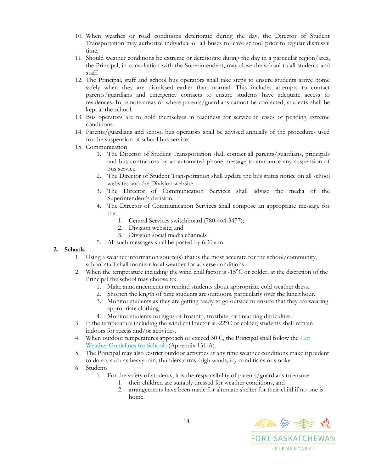- 10. When weather or road conditions deteriorate during the day, the Director of Student Transportation may authorize individual or all buses to leave school prior to regular dismissal time.
- 11. Should weather conditions be extreme or deteriorate during the day in a particular region/area, the Principal, in consultation with the Superintendent, may close the school to all students and staff.
- 12. The Principal, staff and school bus operators shall take steps to ensure students arrive home safely when they are dismissed earlier than normal. This includes attempts to contact parents/guardians and emergency contacts to ensure students have adequate access to residences. In remote areas or where parents/guardians cannot be contacted, students shall be kept at the school.
- 13. Bus operators are to hold themselves in readiness for service in cases of pending extreme conditions.
- 14. Parents/guardians and school bus operators shall be advised annually of the procedures used for the suspension of school bus service.
- 15. Communication
	- 1. The Director of Student Transportation shall contact all parents/guardians, principals and bus contractors by an automated phone message to announce any suspension of bus service.
	- 2. The Director of Student Transportation shall update the bus status notice on all school websites and the Division website.
	- 3. The Director of Communication Services shall advise the media of the Superintendent's decision.
	- 4. The Director of Communication Services shall compose an appropriate message for the:
		- 1. Central Services switchboard (780-464-3477);
		- 2. Division website; and
		- 3. Division social media channels
	- 5. All such messages shall be posted by 6:30 a.m.

#### **2. Schools**

- 1. Using a weather information source(s) that is the most accurate for the school/community, school staff shall monitor local weather for adverse conditions.
- 2. When the temperature including the wind chill factor is -15°C or colder, at the discretion of the Principal the school may choose to:
	- 1. Make announcements to remind students about appropriate cold weather dress.
	- 2. Shorten the length of time students are outdoors, particularly over the lunch hour.
	- 3. Monitor students as they are getting ready to go outside to ensure that they are wearing appropriate clothing.
	- 4. Monitor students for signs of frostnip, frostbite, or breathing difficulties.
- 3. If the temperature including the wind chill factor is -22°C or colder, students shall remain indoors for recess and/or activities.
- 4. When outdoor temperatures approach or exceed 30 C, the Principal shall follow the  $\underline{Hot}$  $\underline{Hot}$  $\underline{Hot}$ [Weather Guidelines for Schools](https://eips.staffconnect.ca/document/download_document/2107) (Appendix 131-A).
- 5. The Principal may also restrict outdoor activities at any time weather conditions make itprudent to do so, such as heavy rain, thunderstorms, high winds, icy conditions or smoke.
- 6. Students
	- 1. For the safety of students, it is the responsibility of parents/guardians to ensure:
		- 1. their children are suitably dressed for weather conditions, and
		- 2. arrangements have been made for alternate shelter for their child if no one is home.

同会委员 **FORT SASKATCHEWAN** · ELEMENTARY ·